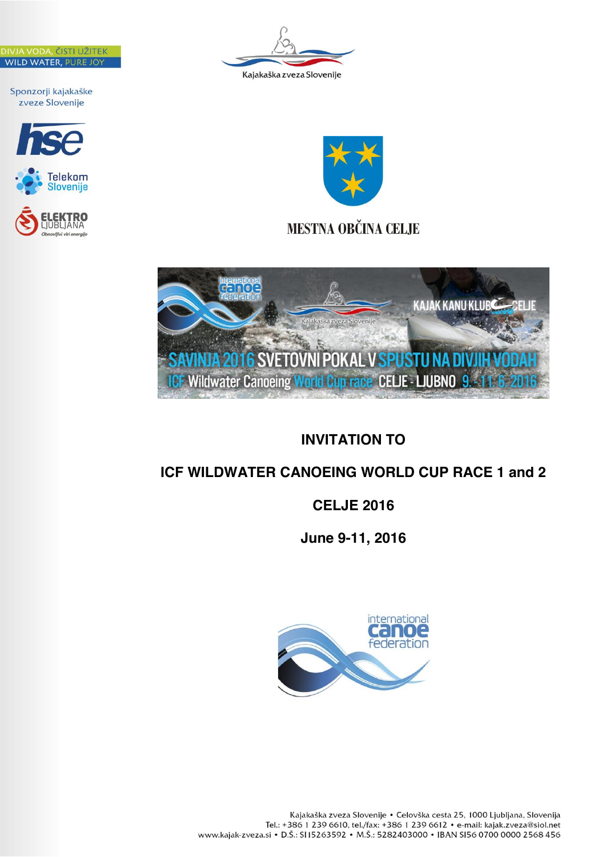ČISTI UŽITEI WILD WATER, PURE JOT

Sponzorji kajakaške zveze Slovenije









**MESTNA OBČINA CELJE** 



# **INVITATION TO**

# **ICF WILDWATER CANOEING WORLD CUP RACE 1 and 2**

# **CELJE 2016**

**June 9-11, 2016**

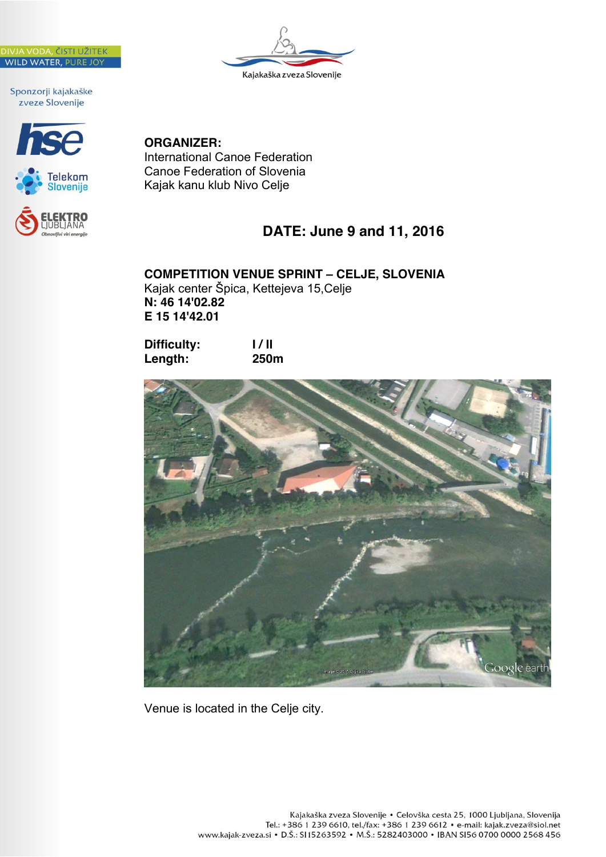







## **ORGANIZER:**

International Canoe Federation Canoe Federation of Slovenia Kajak kanu klub Nivo Celje

## **DATE: June 9 and 11, 2016**

**COMPETITION VENUE SPRINT – CELJE, SLOVENIA** Kajak center Špica, Kettejeva 15,Celje **N: 46 14'02.82 E 15 14'42.01**

| <b>Difficulty:</b> | 1/11        |
|--------------------|-------------|
| Length:            | <b>250m</b> |



Venue is located in the Celje city.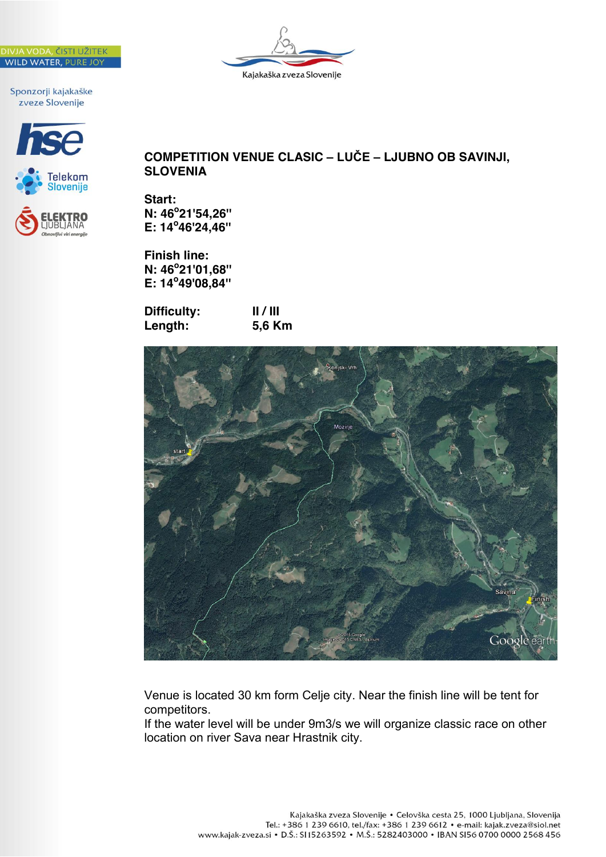





Kajakaška zveza Slovenije

**Start: N: 46o 21'54,26'' E: 14<sup>o</sup> 46'24,46''**

**Finish line: N: 46o 21'01,68'' E: 14<sup>o</sup> 49'08,84''** 

| <b>Difficulty:</b> | 11 / 111 |
|--------------------|----------|
| Length:            | 5,6 Km   |



Venue is located 30 km form Celje city. Near the finish line will be tent for competitors.

If the water level will be under 9m3/s we will organize classic race on other location on river Sava near Hrastnik city.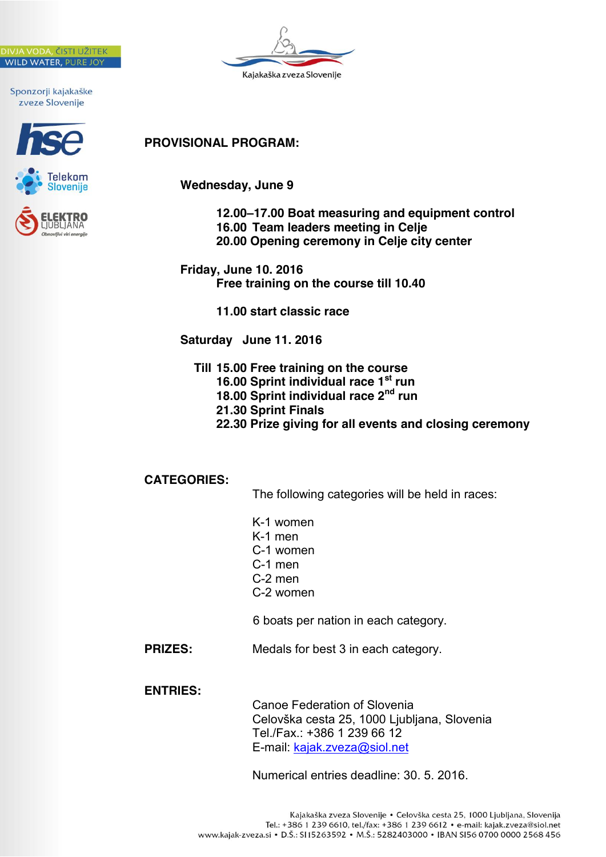







## **PROVISIONAL PROGRAM:**

**Wednesday, June 9**

**12.00–17.00 Boat measuring and equipment control 16.00 Team leaders meeting in Celje 20.00 Opening ceremony in Celje city center**

**Friday, June 10. 2016 Free training on the course till 10.40**

**11.00 start classic race**

**Saturday June 11. 2016**

 **Till 15.00 Free training on the course 16.00 Sprint individual race 1st run 18.00 Sprint individual race 2nd run 21.30 Sprint Finals 22.30 Prize giving for all events and closing ceremony** 

**CATEGORIES:**

The following categories will be held in races:

- K-1 women
- K-1 men
- C-1 women
- C-1 men
- C-2 men
- C-2 women

6 boats per nation in each category.

**PRIZES:** Medals for best 3 in each category.

**ENTRIES:** 

Canoe Federation of Slovenia Celovška cesta 25, 1000 Ljubljana, Slovenia Tel./Fax.: +386 1 239 66 12 E-mail: kajak.zveza@siol.net

Numerical entries deadline: 30. 5. 2016.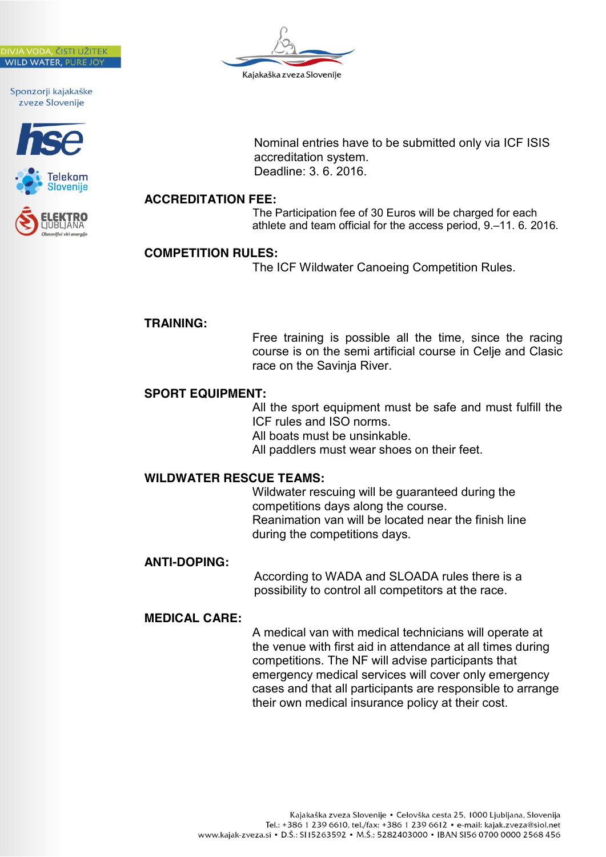







Nominal entries have to be submitted only via ICF ISIS accreditation system. Deadline: 3. 6. 2016.

#### **ACCREDITATION FEE:**

The Participation fee of 30 Euros will be charged for each athlete and team official for the access period, 9.–11. 6. 2016.

#### **COMPETITION RULES:**

The ICF Wildwater Canoeing Competition Rules.

#### **TRAINING:**

Free training is possible all the time, since the racing course is on the semi artificial course in Celje and Clasic race on the Savinja River.

#### **SPORT EQUIPMENT:**

All the sport equipment must be safe and must fulfill the ICF rules and ISO norms. All boats must be unsinkable. All paddlers must wear shoes on their feet.

#### **WILDWATER RESCUE TEAMS:**

Wildwater rescuing will be guaranteed during the competitions days along the course. Reanimation van will be located near the finish line during the competitions days.

#### **ANTI-DOPING:**

According to WADA and SLOADA rules there is a possibility to control all competitors at the race.

#### **MEDICAL CARE:**

A medical van with medical technicians will operate at the venue with first aid in attendance at all times during competitions. The NF will advise participants that emergency medical services will cover only emergency cases and that all participants are responsible to arrange their own medical insurance policy at their cost.